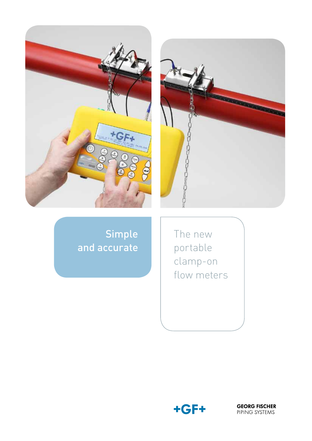



# Simple and accurate

The new portable clamp-on flow meters



**GEORG FISCHER** PIPING SYSTEMS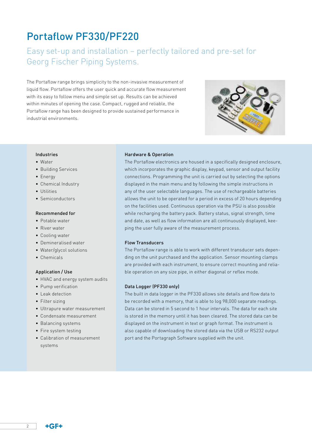# Portaflow PF330/PF220

## Easy set-up and installation – perfectly tailored and pre-set for Georg Fischer Piping Systems.

The Portaflow range brings simplicity to the non-invasive measurement of liquid flow. Portaflow offers the user quick and accurate flow measurement with its easy to follow menu and simple set up. Results can be achieved within minutes of opening the case. Compact, rugged and reliable, the Portaflow range has been designed to provide sustained performance in industrial environments.



#### Industries

- • Water
- • Building Services
- • Energy
- Chemical Industry
- Utilities
- Semiconductors

### Recommended for

- Potable water
- • River water
- Cooling water
- • Demineralised water
- Water/glycol solutions
- • Chemicals

### Application / Use

- HVAC and energy system audits
- • Pump verification
- Leak detection
- Filter sizing
- • Ultrapure water measurement
- • Condensate measurement
- • Balancing systems
- Fire system testing
- • Calibration of measurement systems

### Hardware & Operation

The Portaflow electronics are housed in a specifically designed enclosure, which incorporates the graphic display, keypad, sensor and output facility connections. Programming the unit is carried out by selecting the options displayed in the main menu and by following the simple instructions in any of the user selectable languages. The use of rechargeable batteries allows the unit to be operated for a period in excess of 20 hours depending on the facilities used. Continuous operation via the PSU is also possible while recharging the battery pack. Battery status, signal strength, time and date, as well as flow information are all continuously displayed, keeping the user fully aware of the measurement process.

#### Flow Transducers

The Portaflow range is able to work with different transducer sets depending on the unit purchased and the application. Sensor mounting clamps are provided with each instrument, to ensure correct mounting and reliable operation on any size pipe, in either diagonal or reflex mode.

#### Data Logger (PF330 only)

The built in data logger in the PF330 allows site details and flow data to be recorded with a memory, that is able to log 98,000 separate readings. Data can be stored in 5 second to 1 hour intervals. The data for each site is stored in the memory until it has been cleared. The stored data can be displayed on the instrument in text or graph format. The instrument is also capable of downloading the stored data via the USB or RS232 output port and the Portagraph Software supplied with the unit.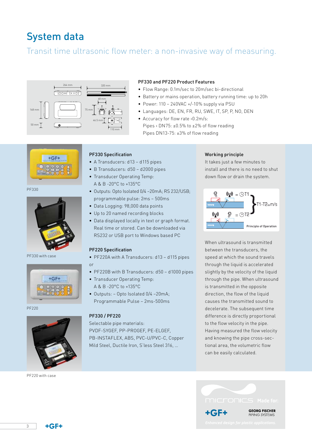# System data

## Transit time ultrasonic flow meter: a non-invasive way of measuring.



## PF330 and PF220 Product Features

- Flow Range: 0.1m/sec to 20m/sec bi-directional
- Battery or mains operation, battery running time: up to 20h
- Power: 110 240VAC +/-10% supply via PSU
- • Languages: DE, EN, FR, RU, SWE, IT, SP, P, NO, DEN
- Accuracy for flow rate >0.2m/s: Pipes > DN75: ±0.5% to ±2% of flow reading Pipes DN13-75: ±3% of flow reading



PF330



PF330 with case



PF220



PF220 with case

### PF330 Specification

- A Transducers: d13 d115 pipes
- B Transducers: d50 d2000 pipes
- Transducer Operating Temp: A & B -20°C to +135°C
- Outputs: Opto Isolated 0/4-20mA; RS 232/USB; programmable pulse: 2ms – 500ms
- Data Logging: 98,000 data points
- Up to 20 named recording blocks
- Data displayed locally in text or graph format. Real time or stored. Can be downloaded via RS232 or USB port to Windows based PC

### PF220 Specification

- PF220A with A Transducers: d13 d115 pipes or
- PF220B with B Transducers: d50 d1000 pipes
- Transducer Operating Temp: A & B -20°C to +135°C
- Outputs: Opto Isolated 0/4 -20mA; Programmable Pulse – 2ms-500ms

#### PF330 / PF220

Selectable pipe materials: PVDF-SYGEF, PP-PROGEF, PE-ELGEF, PB-INSTAFLEX, ABS, PVC-U/PVC-C, Copper Mild Steel, Ductile Iron, S'less Steel 316, …

#### Working principle

It takes just a few minutes to install and there is no need to shut down flow or drain the system.



When ultrasound is transmitted between the transducers, the speed at which the sound travels through the liquid is accelerated slightly by the velocity of the liquid through the pipe. When ultrasound is transmitted in the opposite direction, the flow of the liquid causes the transmitted sound to decelerate. The subsequent time difference is directly proportional to the flow velocity in the pipe. Having measured the flow velocity and knowing the pipe cross-sectional area, the volumetric flow can be easily calculated.



3

 $+GF+$